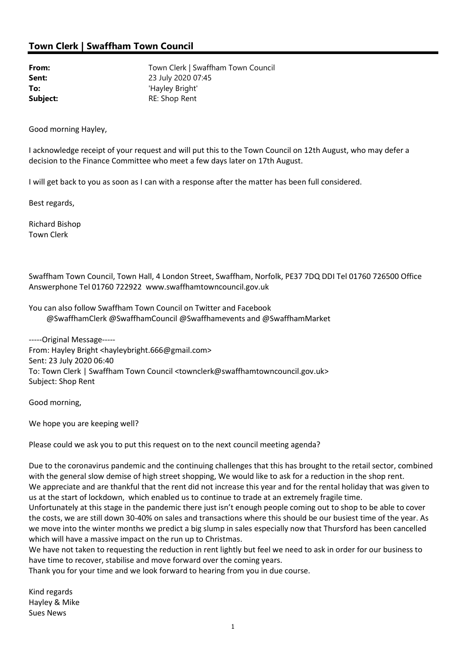## Town Clerk | Swaffham Town Council

**Sent:** 23 July 2020 07:45 To: 'Hayley Bright' Subject: RE: Shop Rent

From: Town Clerk | Swaffham Town Council

Good morning Hayley,

I acknowledge receipt of your request and will put this to the Town Council on 12th August, who may defer a decision to the Finance Committee who meet a few days later on 17th August.

I will get back to you as soon as I can with a response after the matter has been full considered.

Best regards,

Richard Bishop Town Clerk

Swaffham Town Council, Town Hall, 4 London Street, Swaffham, Norfolk, PE37 7DQ DDI Tel 01760 726500 Office Answerphone Tel 01760 722922 www.swaffhamtowncouncil.gov.uk

You can also follow Swaffham Town Council on Twitter and Facebook @SwaffhamClerk @SwaffhamCouncil @Swaffhamevents and @SwaffhamMarket

-----Original Message----- From: Hayley Bright <hayleybright.666@gmail.com> Sent: 23 July 2020 06:40 To: Town Clerk | Swaffham Town Council <townclerk@swaffhamtowncouncil.gov.uk> Subject: Shop Rent

Good morning,

We hope you are keeping well?

Please could we ask you to put this request on to the next council meeting agenda?

Due to the coronavirus pandemic and the continuing challenges that this has brought to the retail sector, combined with the general slow demise of high street shopping, We would like to ask for a reduction in the shop rent. We appreciate and are thankful that the rent did not increase this year and for the rental holiday that was given to us at the start of lockdown, which enabled us to continue to trade at an extremely fragile time.

Unfortunately at this stage in the pandemic there just isn't enough people coming out to shop to be able to cover the costs, we are still down 30-40% on sales and transactions where this should be our busiest time of the year. As we move into the winter months we predict a big slump in sales especially now that Thursford has been cancelled which will have a massive impact on the run up to Christmas.

We have not taken to requesting the reduction in rent lightly but feel we need to ask in order for our business to have time to recover, stabilise and move forward over the coming years.

Thank you for your time and we look forward to hearing from you in due course.

Kind regards Hayley & Mike Sues News